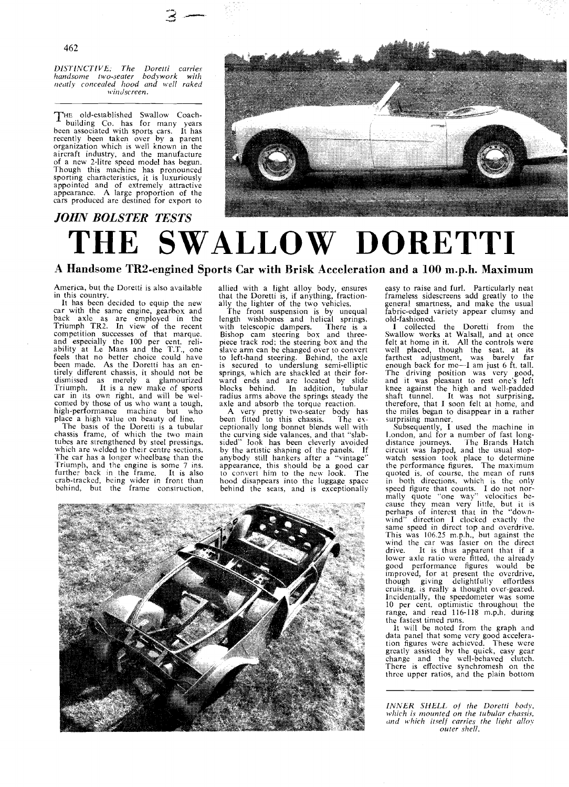*DISTINCTIVE: The Doretti carries ltandsonie tivo-seater bodywork with reatly concealed hood and well raked \r.inticreen.* 

HE old-established Swallow Coachbuilding Co. has for many years been associated with sports cars. It has recently been taken over by a parent organization which is well known in the aircraft industry, and the manufacture of a new 2-litre speed model has begun. Though this machine has pronounced sporting characteristics, it is luxuriously appointed and of extremely attractive appearance. A large proportion of the cars produced are destined for export to



# *JOHN BOLSTER TESTS*

# **THE SWALLOW DORETTI**

# **A Handsome TR2-engined Sports Car with Brisk Acceleration and a 100 m.p.h. Maximum**

America, but the Doretti is also available in this country.<br>It has been decided to equip the new

It has been decided to equip the new car with the same engine, gearbox and back axle as are employed in the Triumph TR2. In view of the recent competition successes of that marque. and especially the 100 per cent. reli-<br>ability at Le Mans and the T.T., one feels that no better choice could have<br>been made. As the Doretti has an entirely different chassis, it should not be dismissed as merely a glamourized 'Triumph. It is a new make of sports car in its own right, and will be welcomed by those of us who want a tough, high-performance machine but who place a high value on beauty of line.

The basis of the Doretti is a tubular chassis frame, of which the two main tubes are strengthened by steel pressings. which are welded to their centre sections. The car has a longer wheelbase than the Triumph, and the engine is some 7 ins.<br>further back in the frame. It is also further back in the frame. crab-tracked, being wider in front than behind, but the frame construction.

allied with a light alloy body, ensures that the Doretti is, if anything, fractionally the lighter of the two vehicles.

The front suspension is by unequal length wishbones and helical springs. with telescopic dampers. There is a Bishop cam steering box and three-piece track rod; the steering box and the slave arm can be changed over to convert to left-hand steering. Behind, the axle is secured to underslung semi-elliptic springs, which are shackled at their forward ends and are located by slide blocks behind. In addition, tubular radius arms above the springs steady the axle and absorb the torque reaction.

A very pretty two-seater body has<br>been fitted to this chassis. The exbeen fitted to this chassis. The ex-<br>ceptionally long bonnet blends well with<br>the curving side valances, and that "slabsided" look has been cleverly avoided by the artistic shaping of the panels. If anybody still hankers after a "vintage" appearance. this should be a good car to convert him to the ncw look. The hood disappears into the luggage space behind the seats, and is exceptionally

easy to raise and furl. Particularly neat frameless sidescreens add greatly to the general smartness, and make the usual fabric-edged variety appear clumsy and old-fashioned.

**1** collected the Doretti from the Swallow works at Walsall, and at once felt at home in it. All the controls were well placed, though the seat. at its farthest adjustment, was barely far enough back for me—I am just 6 ft. tall. The driving position was very good, and it was pleasant to rest one's left knee against the high and well-padded shaft tunnel. It was not surprising, therefore, that I soon felt at home, and the miles began to disappear in a rather

surprising manner.<br>Subsequently, I used the machine in London, and for a number of fast longdistance journeys. The Brands Hatch circuit was lapped, and the usual stopwatch session took place to determine the performance figures. The maximum quoted is. of course. the mean of runs in both directions. which is the only speed figure that counts. I do not nor-<br>mally quote "one way" velocities be-<br>cause they mean very little, but it is perhaps of interest that in the "downwind<sup>1</sup> direction I clocked exactly the same speed in direct top and overdrive. 'This was 106.25 m.p.h., but against the wind the car was faster on the direct drive. It is thus apparent that if a lower axle ratio were fitted. the already good performance figures would be improved: for at present the ovcrdrive, though giving delightfully effortless cruising, is really a thought over-geared. Incidentally, the speedometer was some 10 per cent, optimistic throughout the range, and read 116-118 m.p.h. during the fastest timed runs. It will be noted from the graph and

data panel that some very good acceleration figures were achieved. These were greatly assisted by the quick, easy gear change and the well-behaved clutch. There is effective synchromesh on the thrce upper ratios, and the plain bottom

INNER SHELL of the Doretti body, *which is mounted on the tubular chassis, tmd which itself curries the light allov*   $outer$  shell.

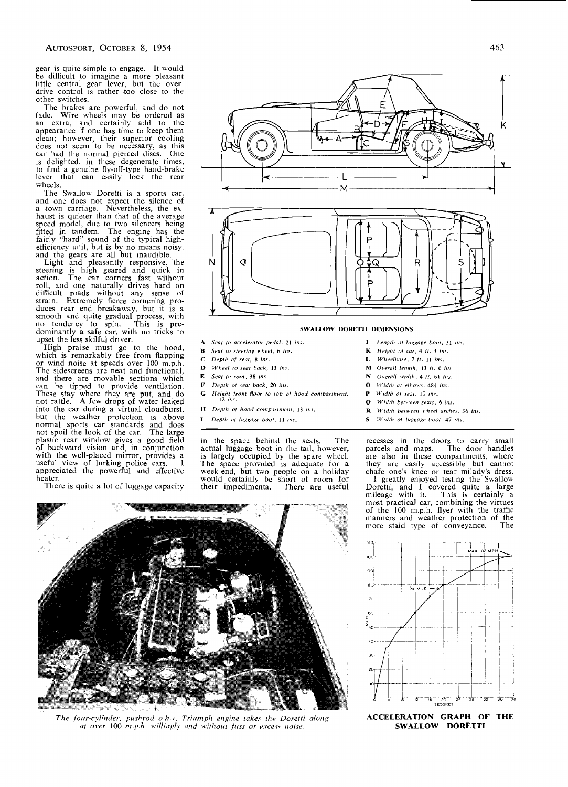gear is quite simple to engage. It would be difficult to imagine a more pleasant little central gear lever, but the over- drive control is rather too close to the other switches.

The brakes are powerful, and do not fade. Wire wheels may be ordered as an extra, and certainly add to the appearance if one has time to keep them clean; however, their superior cooling<br>does not seem to be necessary, as this car had the normal pierced discs. One is dclighted, in these degenerate times, to find a genuine fly-off-type hand-brake lever that can easily lock the rear wheels.

The Swallow Doretti is a sports car, and one does not expect the silence of a town carriage. Nevertheless, the ex- haust is quieter than that of the average speed model, due to two silencers being<br>fitted in tandem. The engine has the fitted in tandem. The engine has the fairly "hard" sound of the typical highefficiency unit, but is by no means noisy. and the gears are all but inaudible.

Light and pleasantly responsive. the steering is high geared and quick in action. The car corners fast without roll, and one naturally drives hard on difficult roads without any sense of strain. Extremely fierce cornering pro-<br>duces rear end breakaway, but it is a duces rear end breakaway, but it is a smooth and quite gradual process, with no tendency to spin. This is predominantly a safe car, with no tricks to upset the less skilful driver.

High praise must go to the hood,<br>which is remarkably free from flapping which is remarkably free from flapping or wind noise at speeds over 100 m.p.h. The sidescreens are neat and functional, and there are movable sections which can be tipped to provide ventilation. These stay where they are put, and do not rattle. A few drops of water leaked into the car during a virtual cloudburst. but the weather protection is above normal sports car standards and does not spoil the look of the car. The large plastic rear window gives a good field of backward vision and, in conjunction with the well-placed mirror, provides a useful view of lurking police cars. **1**  appreciated the powerful and effective heater.

There is quite a lot of luggage capacity



м

- **A** Seat to accelerator pedal, 21 ins.
- *Seal ro rleering wl:eel,* **6** *ins.*
- $\mathbf{C}$ *Drplh of sear,* **8** *ins.*
- $\mathbf{D}$ *Wheel lo Jeal back,* **13** *inr.*
- $\mathbf{E}$ *Sear lo roof,* **38** *ins.*
- $\mathbf{F}$ *Ileplh of seat back,* **20** *irrs.*
- G *Height from floor to top of hood compartment.* **12** *ins*.
- *H Depth of hood compartment*, 13 *ins*.
- 
- *I* Depth of luggage boot, 11 ins.

in the space behind the seats. The recesses in the doors to carry small actual luggage boot in the tail, however, parcels and maps. The door handles



*K Fieipl~r of car,* **4** *11.* **3** *iru.* 

R

- *P Width of seat*, 19 *ins*.
- **Q** *Width between seats, 6 ins.*
- *R Widrh berweet~ w)Ieel arches,* **36** *tn,.*
- **S** *Width of luggage boot, 47 ins.*

actual luggage boot in the tail, however, parcels and maps. The door handles<br>is largely occupied by the spare wheel. are also in these compartments, where<br>The space provided is adequate for a they are easily accessible but they are easily accessible but cannot week-end, but two people on a holiday chafe one's knee or tear milady's dress.<br>would certainly be short of room for [1] greatly enjoyed testing the Swallow would certainly be short of room for I greatly enjoyed testing the Swallow their impedimenta. There are useful Doretti, and I covered quite a large mileage with it. This is certainly a most practical car, combining the virtues of the 100 m.p.h. flyer with the traffic manners and weather protection of the more staid type of conveyance. The



*The four-cylinder, pushrod 0.h.v. Triurnph engine lakec the Dorefti dong*  at over 100 m.p.h. willingly and without fuss or excess noise.



**SWALLOW DORETTI**